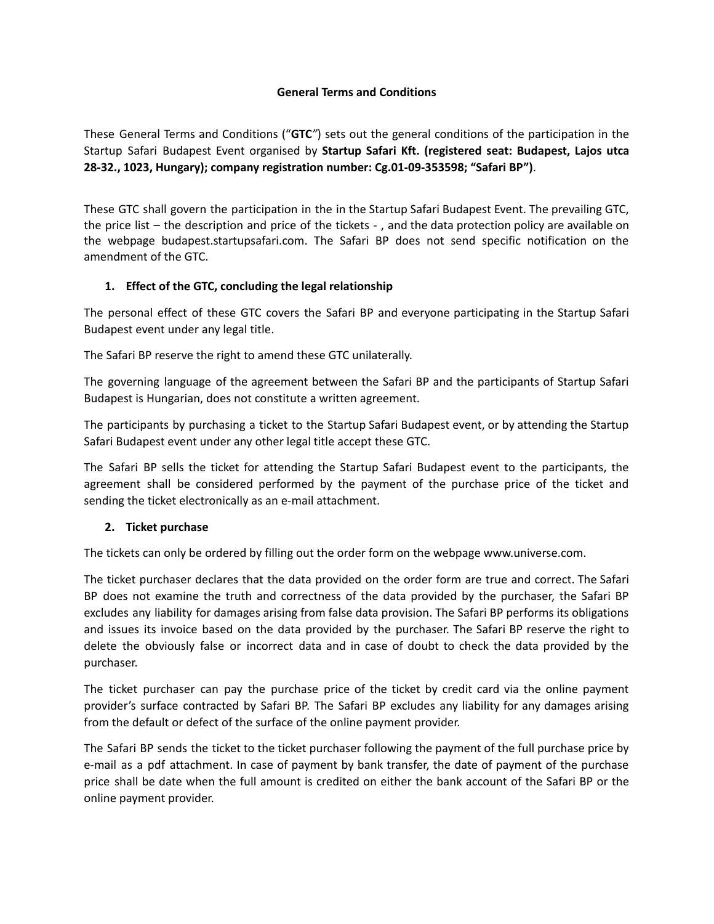### **General Terms and Conditions**

These General Terms and Conditions ("**GTC***"*) sets out the general conditions of the participation in the Startup Safari Budapest Event organised by **Startup Safari Kft. (registered seat: Budapest, Lajos utca 28-32., 1023, Hungary); company registration number: Cg.01-09-353598; "Safari BP")**.

These GTC shall govern the participation in the in the Startup Safari Budapest Event. The prevailing GTC, the price list – the description and price of the tickets - , and the data protection policy are available on the webpage [budapest.startupsafari.com](http://budapest.startupsafari.com/). The Safari BP does not send specific notification on the amendment of the GTC.

# **1. Effect of the GTC, concluding the legal relationship**

The personal effect of these GTC covers the Safari BP and everyone participating in the Startup Safari Budapest event under any legal title.

The Safari BP reserve the right to amend these GTC unilaterally.

The governing language of the agreement between the Safari BP and the participants of Startup Safari Budapest is Hungarian, does not constitute a written agreement.

The participants by purchasing a ticket to the Startup Safari Budapest event, or by attending the Startup Safari Budapest event under any other legal title accept these GTC.

The Safari BP sells the ticket for attending the Startup Safari Budapest event to the participants, the agreement shall be considered performed by the payment of the purchase price of the ticket and sending the ticket electronically as an e-mail attachment.

# **2. Ticket purchase**

The tickets can only be ordered by filling out the order form on the webpage [www.universe.com](http://www.universe.com/).

The ticket purchaser declares that the data provided on the order form are true and correct. The Safari BP does not examine the truth and correctness of the data provided by the purchaser, the Safari BP excludes any liability for damages arising from false data provision. The Safari BP performs its obligations and issues its invoice based on the data provided by the purchaser. The Safari BP reserve the right to delete the obviously false or incorrect data and in case of doubt to check the data provided by the purchaser.

The ticket purchaser can pay the purchase price of the ticket by credit card via the online payment provider's surface contracted by Safari BP. The Safari BP excludes any liability for any damages arising from the default or defect of the surface of the online payment provider.

The Safari BP sends the ticket to the ticket purchaser following the payment of the full purchase price by e-mail as a pdf attachment. In case of payment by bank transfer, the date of payment of the purchase price shall be date when the full amount is credited on either the bank account of the Safari BP or the online payment provider.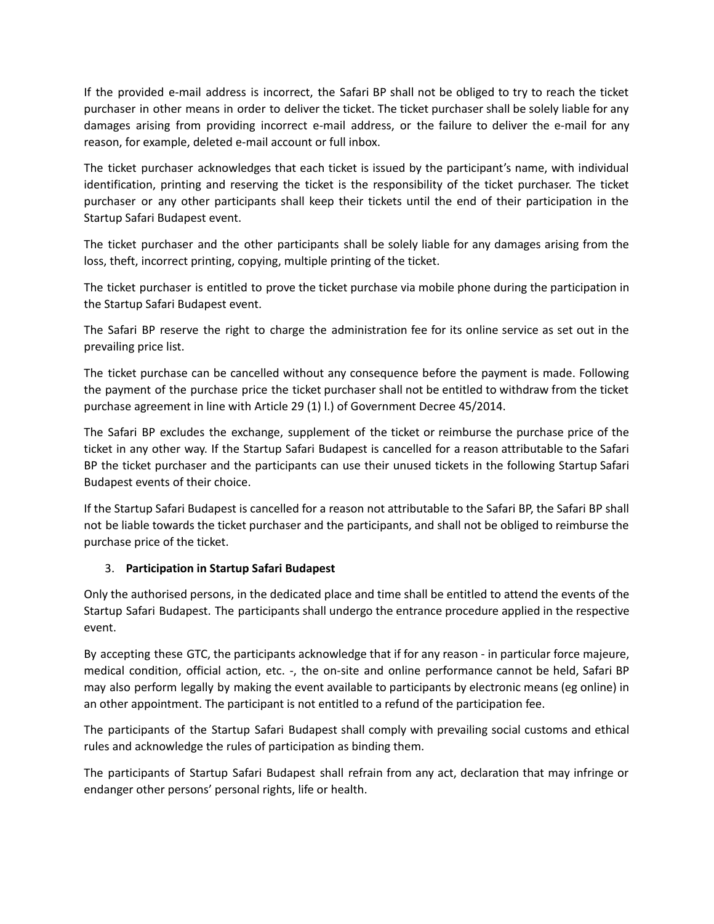If the provided e-mail address is incorrect, the Safari BP shall not be obliged to try to reach the ticket purchaser in other means in order to deliver the ticket. The ticket purchaser shall be solely liable for any damages arising from providing incorrect e-mail address, or the failure to deliver the e-mail for any reason, for example, deleted e-mail account or full inbox.

The ticket purchaser acknowledges that each ticket is issued by the participant's name, with individual identification, printing and reserving the ticket is the responsibility of the ticket purchaser. The ticket purchaser or any other participants shall keep their tickets until the end of their participation in the Startup Safari Budapest event.

The ticket purchaser and the other participants shall be solely liable for any damages arising from the loss, theft, incorrect printing, copying, multiple printing of the ticket.

The ticket purchaser is entitled to prove the ticket purchase via mobile phone during the participation in the Startup Safari Budapest event.

The Safari BP reserve the right to charge the administration fee for its online service as set out in the prevailing price list.

The ticket purchase can be cancelled without any consequence before the payment is made. Following the payment of the purchase price the ticket purchaser shall not be entitled to withdraw from the ticket purchase agreement in line with Article 29 (1) l.) of Government Decree 45/2014.

The Safari BP excludes the exchange, supplement of the ticket or reimburse the purchase price of the ticket in any other way. If the Startup Safari Budapest is cancelled for a reason attributable to the Safari BP the ticket purchaser and the participants can use their unused tickets in the following Startup Safari Budapest events of their choice.

If the Startup Safari Budapest is cancelled for a reason not attributable to the Safari BP, the Safari BP shall not be liable towards the ticket purchaser and the participants, and shall not be obliged to reimburse the purchase price of the ticket.

# 3. **Participation in Startup Safari Budapest**

Only the authorised persons, in the dedicated place and time shall be entitled to attend the events of the Startup Safari Budapest. The participants shall undergo the entrance procedure applied in the respective event.

By accepting these GTC, the participants acknowledge that if for any reason - in particular force majeure, medical condition, official action, etc. -, the on-site and online performance cannot be held, Safari BP may also perform legally by making the event available to participants by electronic means (eg online) in an other appointment. The participant is not entitled to a refund of the participation fee.

The participants of the Startup Safari Budapest shall comply with prevailing social customs and ethical rules and acknowledge the rules of participation as binding them.

The participants of Startup Safari Budapest shall refrain from any act, declaration that may infringe or endanger other persons' personal rights, life or health.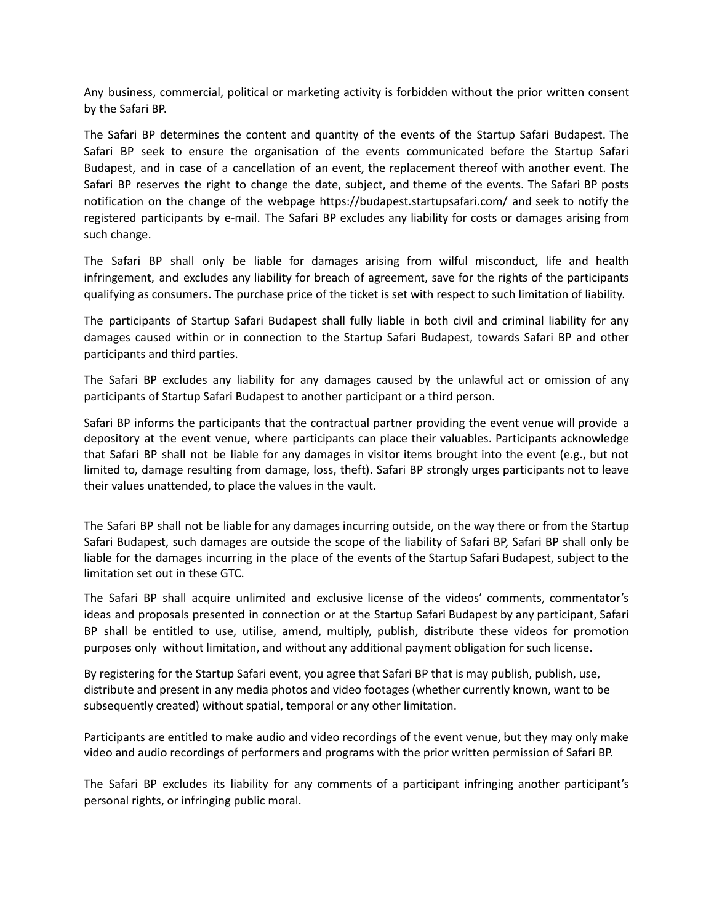Any business, commercial, political or marketing activity is forbidden without the prior written consent by the Safari BP.

The Safari BP determines the content and quantity of the events of the Startup Safari Budapest. The Safari BP seek to ensure the organisation of the events communicated before the Startup Safari Budapest, and in case of a cancellation of an event, the replacement thereof with another event. The Safari BP reserves the right to change the date, subject, and theme of the events. The Safari BP posts notification on the change of the webpage [https://budapest.startupsafari.com/](https://budapest.startupsafary.com/) and seek to notify the registered participants by e-mail. The Safari BP excludes any liability for costs or damages arising from such change.

The Safari BP shall only be liable for damages arising from wilful misconduct, life and health infringement, and excludes any liability for breach of agreement, save for the rights of the participants qualifying as consumers. The purchase price of the ticket is set with respect to such limitation of liability.

The participants of Startup Safari Budapest shall fully liable in both civil and criminal liability for any damages caused within or in connection to the Startup Safari Budapest, towards Safari BP and other participants and third parties.

The Safari BP excludes any liability for any damages caused by the unlawful act or omission of any participants of Startup Safari Budapest to another participant or a third person.

Safari BP informs the participants that the contractual partner providing the event venue will provide a depository at the event venue, where participants can place their valuables. Participants acknowledge that Safari BP shall not be liable for any damages in visitor items brought into the event (e.g., but not limited to, damage resulting from damage, loss, theft). Safari BP strongly urges participants not to leave their values unattended, to place the values in the vault.

The Safari BP shall not be liable for any damages incurring outside, on the way there or from the Startup Safari Budapest, such damages are outside the scope of the liability of Safari BP, Safari BP shall only be liable for the damages incurring in the place of the events of the Startup Safari Budapest, subject to the limitation set out in these GTC.

The Safari BP shall acquire unlimited and exclusive license of the videos' comments, commentator's ideas and proposals presented in connection or at the Startup Safari Budapest by any participant, Safari BP shall be entitled to use, utilise, amend, multiply, publish, distribute these videos for promotion purposes only without limitation, and without any additional payment obligation for such license.

By registering for the Startup Safari event, you agree that Safari BP that is may publish, publish, use, distribute and present in any media photos and video footages (whether currently known, want to be subsequently created) without spatial, temporal or any other limitation.

Participants are entitled to make audio and video recordings of the event venue, but they may only make video and audio recordings of performers and programs with the prior written permission of Safari BP.

The Safari BP excludes its liability for any comments of a participant infringing another participant's personal rights, or infringing public moral.